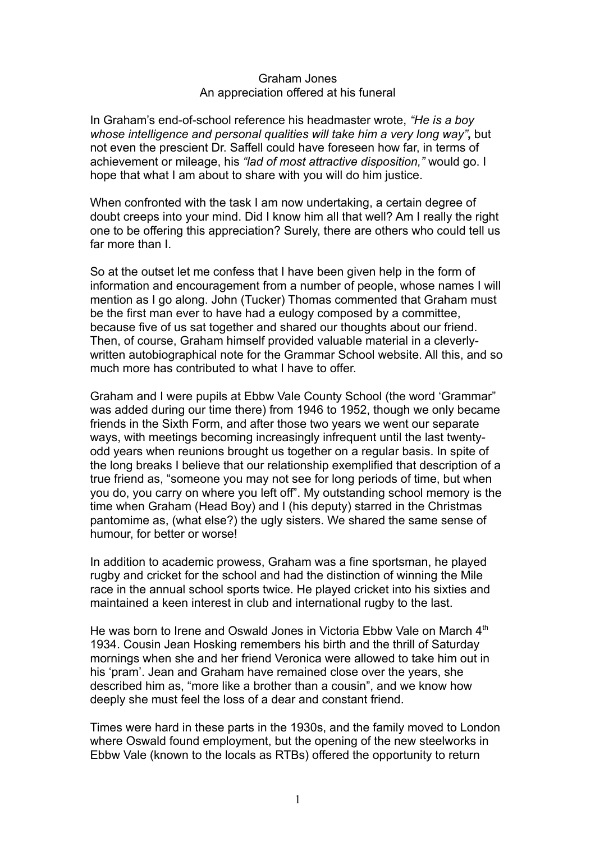## Graham Jones An appreciation offered at his funeral

In Graham's end-of-school reference his headmaster wrote, *"He is a boy whose intelligence and personal qualities will take him a very long way"***,** but not even the prescient Dr. Saffell could have foreseen how far, in terms of achievement or mileage, his *"lad of most attractive disposition,"* would go. I hope that what I am about to share with you will do him justice.

When confronted with the task I am now undertaking, a certain degree of doubt creeps into your mind. Did I know him all that well? Am I really the right one to be offering this appreciation? Surely, there are others who could tell us far more than I.

So at the outset let me confess that I have been given help in the form of information and encouragement from a number of people, whose names I will mention as I go along. John (Tucker) Thomas commented that Graham must be the first man ever to have had a eulogy composed by a committee, because five of us sat together and shared our thoughts about our friend. Then, of course, Graham himself provided valuable material in a cleverlywritten autobiographical note for the Grammar School website. All this, and so much more has contributed to what I have to offer.

Graham and I were pupils at Ebbw Vale County School (the word 'Grammar" was added during our time there) from 1946 to 1952, though we only became friends in the Sixth Form, and after those two years we went our separate ways, with meetings becoming increasingly infrequent until the last twentyodd years when reunions brought us together on a regular basis. In spite of the long breaks I believe that our relationship exemplified that description of a true friend as, "someone you may not see for long periods of time, but when you do, you carry on where you left off". My outstanding school memory is the time when Graham (Head Boy) and I (his deputy) starred in the Christmas pantomime as, (what else?) the ugly sisters. We shared the same sense of humour, for better or worse!

In addition to academic prowess, Graham was a fine sportsman, he played rugby and cricket for the school and had the distinction of winning the Mile race in the annual school sports twice. He played cricket into his sixties and maintained a keen interest in club and international rugby to the last.

He was born to Irene and Oswald Jones in Victoria Ebbw Vale on March 4<sup>th</sup> 1934. Cousin Jean Hosking remembers his birth and the thrill of Saturday mornings when she and her friend Veronica were allowed to take him out in his 'pram'. Jean and Graham have remained close over the years, she described him as, "more like a brother than a cousin", and we know how deeply she must feel the loss of a dear and constant friend.

Times were hard in these parts in the 1930s, and the family moved to London where Oswald found employment, but the opening of the new steelworks in Ebbw Vale (known to the locals as RTBs) offered the opportunity to return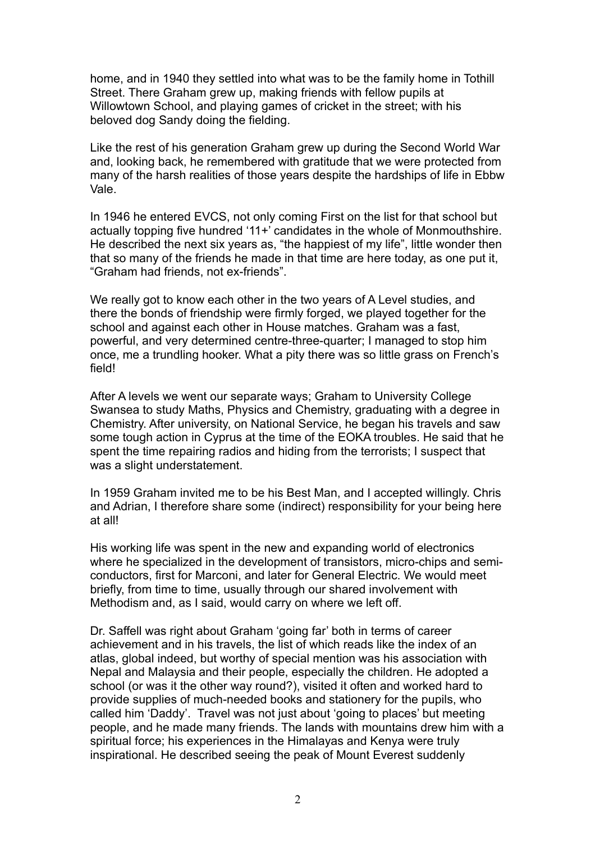home, and in 1940 they settled into what was to be the family home in Tothill Street. There Graham grew up, making friends with fellow pupils at Willowtown School, and playing games of cricket in the street; with his beloved dog Sandy doing the fielding.

Like the rest of his generation Graham grew up during the Second World War and, looking back, he remembered with gratitude that we were protected from many of the harsh realities of those years despite the hardships of life in Ebbw Vale.

In 1946 he entered EVCS, not only coming First on the list for that school but actually topping five hundred '11+' candidates in the whole of Monmouthshire. He described the next six years as, "the happiest of my life", little wonder then that so many of the friends he made in that time are here today, as one put it, "Graham had friends, not ex-friends".

We really got to know each other in the two years of A Level studies, and there the bonds of friendship were firmly forged, we played together for the school and against each other in House matches. Graham was a fast, powerful, and very determined centre-three-quarter; I managed to stop him once, me a trundling hooker. What a pity there was so little grass on French's field!

After A levels we went our separate ways; Graham to University College Swansea to study Maths, Physics and Chemistry, graduating with a degree in Chemistry. After university, on National Service, he began his travels and saw some tough action in Cyprus at the time of the EOKA troubles. He said that he spent the time repairing radios and hiding from the terrorists; I suspect that was a slight understatement.

In 1959 Graham invited me to be his Best Man, and I accepted willingly. Chris and Adrian, I therefore share some (indirect) responsibility for your being here at all!

His working life was spent in the new and expanding world of electronics where he specialized in the development of transistors, micro-chips and semiconductors, first for Marconi, and later for General Electric. We would meet briefly, from time to time, usually through our shared involvement with Methodism and, as I said, would carry on where we left off.

Dr. Saffell was right about Graham 'going far' both in terms of career achievement and in his travels, the list of which reads like the index of an atlas, global indeed, but worthy of special mention was his association with Nepal and Malaysia and their people, especially the children. He adopted a school (or was it the other way round?), visited it often and worked hard to provide supplies of much-needed books and stationery for the pupils, who called him 'Daddy'. Travel was not just about 'going to places' but meeting people, and he made many friends. The lands with mountains drew him with a spiritual force; his experiences in the Himalayas and Kenya were truly inspirational. He described seeing the peak of Mount Everest suddenly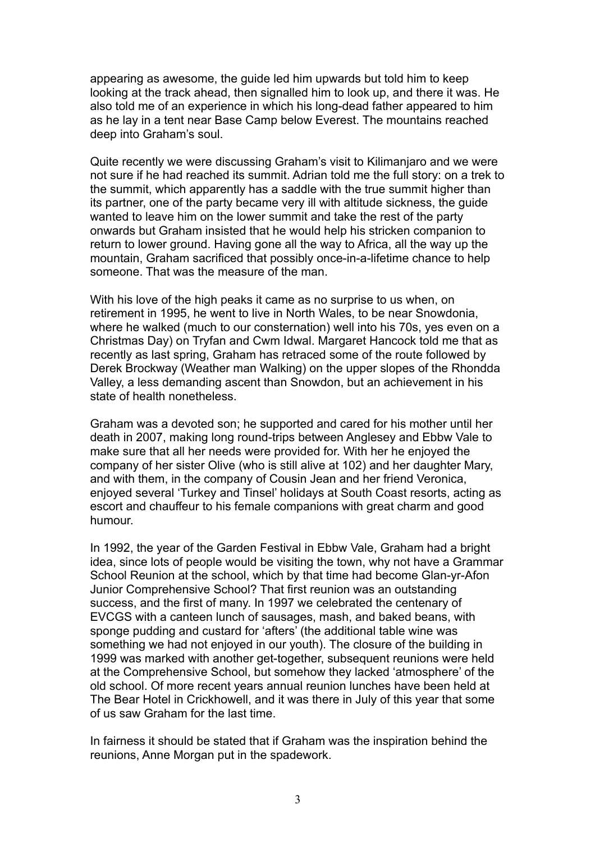appearing as awesome, the guide led him upwards but told him to keep looking at the track ahead, then signalled him to look up, and there it was. He also told me of an experience in which his long-dead father appeared to him as he lay in a tent near Base Camp below Everest. The mountains reached deep into Graham's soul.

Quite recently we were discussing Graham's visit to Kilimanjaro and we were not sure if he had reached its summit. Adrian told me the full story: on a trek to the summit, which apparently has a saddle with the true summit higher than its partner, one of the party became very ill with altitude sickness, the guide wanted to leave him on the lower summit and take the rest of the party onwards but Graham insisted that he would help his stricken companion to return to lower ground. Having gone all the way to Africa, all the way up the mountain, Graham sacrificed that possibly once-in-a-lifetime chance to help someone. That was the measure of the man.

With his love of the high peaks it came as no surprise to us when, on retirement in 1995, he went to live in North Wales, to be near Snowdonia, where he walked (much to our consternation) well into his 70s, yes even on a Christmas Day) on Tryfan and Cwm Idwal. Margaret Hancock told me that as recently as last spring, Graham has retraced some of the route followed by Derek Brockway (Weather man Walking) on the upper slopes of the Rhondda Valley, a less demanding ascent than Snowdon, but an achievement in his state of health nonetheless.

Graham was a devoted son; he supported and cared for his mother until her death in 2007, making long round-trips between Anglesey and Ebbw Vale to make sure that all her needs were provided for. With her he enjoyed the company of her sister Olive (who is still alive at 102) and her daughter Mary, and with them, in the company of Cousin Jean and her friend Veronica, enjoyed several 'Turkey and Tinsel' holidays at South Coast resorts, acting as escort and chauffeur to his female companions with great charm and good humour.

In 1992, the year of the Garden Festival in Ebbw Vale, Graham had a bright idea, since lots of people would be visiting the town, why not have a Grammar School Reunion at the school, which by that time had become Glan-yr-Afon Junior Comprehensive School? That first reunion was an outstanding success, and the first of many. In 1997 we celebrated the centenary of EVCGS with a canteen lunch of sausages, mash, and baked beans, with sponge pudding and custard for 'afters' (the additional table wine was something we had not enjoyed in our youth). The closure of the building in 1999 was marked with another get-together, subsequent reunions were held at the Comprehensive School, but somehow they lacked 'atmosphere' of the old school. Of more recent years annual reunion lunches have been held at The Bear Hotel in Crickhowell, and it was there in July of this year that some of us saw Graham for the last time.

In fairness it should be stated that if Graham was the inspiration behind the reunions, Anne Morgan put in the spadework.